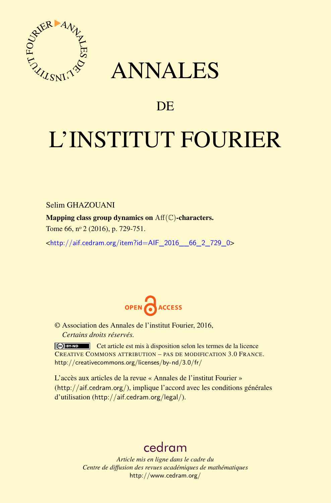

# ANNALES

## **DE**

# L'INSTITUT FOURIER

Selim GHAZOUANI

Mapping class group dynamics on  $\text{Aff}(\mathbb{C})$ -characters.

Tome 66, nº 2 (2016), p. 729-751.

 $\kappa$ http://aif.cedram.org/item?id=AIF\_2016\_66\_2\_729\_0>



© Association des Annales de l'institut Fourier, 2016, *Certains droits réservés.*

Cet article est mis à disposition selon les termes de la licence CREATIVE COMMONS ATTRIBUTION – PAS DE MODIFICATION 3.0 FRANCE. <http://creativecommons.org/licenses/by-nd/3.0/fr/>

L'accès aux articles de la revue « Annales de l'institut Fourier » (<http://aif.cedram.org/>), implique l'accord avec les conditions générales d'utilisation (<http://aif.cedram.org/legal/>).

## [cedram](http://www.cedram.org/)

*Article mis en ligne dans le cadre du Centre de diffusion des revues académiques de mathématiques* <http://www.cedram.org/>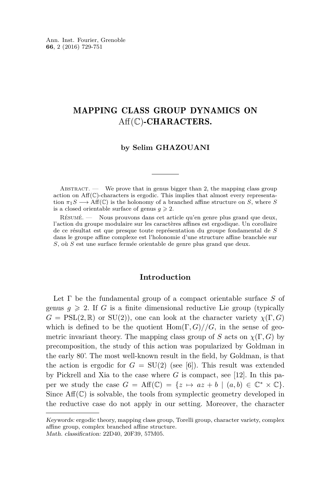## MAPPING CLASS GROUP DYNAMICS ON  $Aff(\mathbb{C})$ -CHARACTERS.

### **by Selim GHAZOUANI**

ABSTRACT. — We prove that in genus bigger than 2, the mapping class group action on  $Aff(\mathbb{C})$ -characters is ergodic. This implies that almost every representation  $\pi_1 S \longrightarrow \text{Aff}(\mathbb{C})$  is the holonomy of a branched affine structure on *S*, where *S* is a closed orientable surface of genus  $q \geq 2$ .

Résumé. — Nous prouvons dans cet article qu'en genre plus grand que deux, l'action du groupe modulaire sur les caractères affines est ergodique. Un corollaire de ce résultat est que presque toute représentation du groupe fondamental de *S* dans le groupe affine complexe est l'holonomie d'une structure affine branchée sur *S*, où *S* est une surface fermée orientable de genre plus grand que deux.

## **Introduction**

Let Γ be the fundamental group of a compact orientable surface *S* of genus  $g \geq 2$ . If *G* is a finite dimensional reductive Lie group (typically  $G = \text{PSL}(2,\mathbb{R})$  or  $\text{SU}(2)$ , one can look at the character variety  $\chi(\Gamma, G)$ which is defined to be the quotient  $\text{Hom}(\Gamma, G)//G$ , in the sense of geometric invariant theory. The mapping class group of *S* acts on  $\chi(\Gamma, G)$  by precomposition, the study of this action was popularized by Goldman in the early 80'. The most well-known result in the field, by Goldman, is that the action is ergodic for  $G = SU(2)$  (see [\[6\]](#page-23-0)). This result was extended by Pickrell and Xia to the case where *G* is compact, see [\[12\]](#page-23-1). In this paper we study the case  $G = \text{Aff}(\mathbb{C}) = \{z \mapsto az + b \mid (a, b) \in \mathbb{C}^* \times \mathbb{C}\}.$ Since  $\text{Aff}(\mathbb{C})$  is solvable, the tools from symplectic geometry developed in the reductive case do not apply in our setting. Moreover, the character

Keywords: ergodic theory, mapping class group, Torelli group, character variety, complex affine group, complex branched affine structure. Math. classification: 22D40, 20F39, 57M05.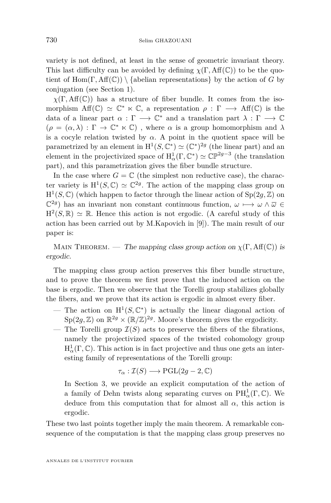variety is not defined, at least in the sense of geometric invariant theory. This last difficulty can be avoided by defining  $\chi(\Gamma, \text{Aff}(\mathbb{C}))$  to be the quotient of Hom(Γ,  $Aff(\mathbb{C})$ ) {abelian representations} by the action of *G* by conjugation (see Section [1\)](#page-3-0).

 $\chi(\Gamma, \text{Aff}(\mathbb{C}))$  has a structure of fiber bundle. It comes from the isomorphism  $\text{Aff}(\mathbb{C}) \simeq \mathbb{C}^* \ltimes \mathbb{C}$ , a representation  $\rho : \Gamma \longrightarrow \text{Aff}(\mathbb{C})$  is the data of a linear part  $\alpha$  :  $\Gamma \longrightarrow \mathbb{C}^*$  and a translation part  $\lambda : \Gamma \longrightarrow \mathbb{C}$  $(\rho = (\alpha, \lambda) : \Gamma \to \mathbb{C}^* \ltimes \mathbb{C})$ , where  $\alpha$  is a group homomorphism and  $\lambda$ is a cocyle relation twisted by  $\alpha$ . A point in the quotient space will be parametrized by an element in  $H^1(S, \mathbb{C}^*) \simeq (\mathbb{C}^*)^{2g}$  (the linear part) and an element in the projectivized space of  $H^1_\alpha(\Gamma, \mathbb{C}^*) \simeq \mathbb{CP}^{2g-3}$  (the translation part), and this parametrization gives the fiber bundle structure.

In the case where  $G = \mathbb{C}$  (the simplest non reductive case), the character variety is  $H^1(S, \mathbb{C}) \simeq \mathbb{C}^{2g}$ . The action of the mapping class group on  $H^1(S, \mathbb{C})$  (which happen to factor through the linear action of  $Sp(2g, \mathbb{Z})$  on  $\mathbb{C}^{2g}$ ) has an invariant non constant continuous function,  $\omega \mapsto \omega \wedge \overline{\omega}$  ∈  $H^2(S, \mathbb{R}) \simeq \mathbb{R}$ . Hence this action is not ergodic. (A careful study of this action has been carried out by M.Kapovich in [\[9\]](#page-23-2)). The main result of our paper is:

MAIN THEOREM. — The mapping class group action on  $\chi(\Gamma, \text{Aff}(\mathbb{C}))$  is ergodic.

The mapping class group action preserves this fiber bundle structure, and to prove the theorem we first prove that the induced action on the base is ergodic. Then we observe that the Torelli group stabilizes globally the fibers, and we prove that its action is ergodic in almost every fiber.

- The action on  $H^1(S, \mathbb{C}^*)$  is actually the linear diagonal action of  $Sp(2g, \mathbb{Z})$  on  $\mathbb{R}^{2g} \times (\mathbb{R}/\mathbb{Z})^{2g}$ . Moore's theorem gives the ergodicity.
- The Torelli group  $\mathcal{I}(S)$  acts to preserve the fibers of the fibrations, namely the projectivized spaces of the twisted cohomology group  $H^1_\alpha(\Gamma,\mathbb{C})$ . This action is in fact projective and thus one gets an interesting family of representations of the Torelli group:

$$
\tau_{\alpha} : \mathcal{I}(S) \longrightarrow \mathrm{PGL}(2g-2,\mathbb{C})
$$

In Section [3,](#page-8-0) we provide an explicit computation of the action of a family of Dehn twists along separating curves on  $PH^1_\alpha(\Gamma,\mathbb{C})$ . We deduce from this computation that for almost all  $\alpha$ , this action is ergodic.

These two last points together imply the main theorem. A remarkable consequence of the computation is that the mapping class group preserves no

ANNALES DE L'INSTITUT FOURIER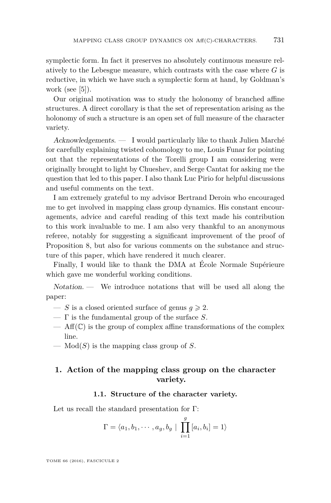symplectic form. In fact it preserves no absolutely continuous measure relatively to the Lebesgue measure, which contrasts with the case where *G* is reductive, in which we have such a symplectic form at hand, by Goldman's work (see  $[5]$ ).

Our original motivation was to study the holonomy of branched affine structures. A direct corollary is that the set of representation arising as the holonomy of such a structure is an open set of full measure of the character variety.

Acknowledgements. — I would particularly like to thank Julien Marché for carefully explaining twisted cohomology to me, Louis Funar for pointing out that the representations of the Torelli group I am considering were originally brought to light by Chueshev, and Serge Cantat for asking me the question that led to this paper. I also thank Luc Pirio for helpful discussions and useful comments on the text.

I am extremely grateful to my advisor Bertrand Deroin who encouraged me to get involved in mapping class group dynamics. His constant encouragements, advice and careful reading of this text made his contribution to this work invaluable to me. I am also very thankful to an anonymous referee, notably for suggesting a significant improvement of the proof of Proposition 8, but also for various comments on the substance and structure of this paper, which have rendered it much clearer.

Finally, I would like to thank the DMA at École Normale Supérieure which gave me wonderful working conditions.

Notation. — We introduce notations that will be used all along the paper:

- $\overline{\phantom{a}}$  *S* is a closed oriented surface of genus  $g \ge 2$ .
- Γ is the fundamental group of the surface *S*.
- $-\text{Aff}(\mathbb{C})$  is the group of complex affine transformations of the complex line.
- $-$  Mod(*S*) is the mapping class group of *S*.

## <span id="page-3-0"></span>**1. Action of the mapping class group on the character variety.**

## **1.1. Structure of the character variety.**

Let us recall the standard presentation for Γ:

$$
\Gamma = \langle a_1, b_1, \cdots, a_g, b_g \mid \prod_{i=1}^g [a_i, b_i] = 1 \rangle
$$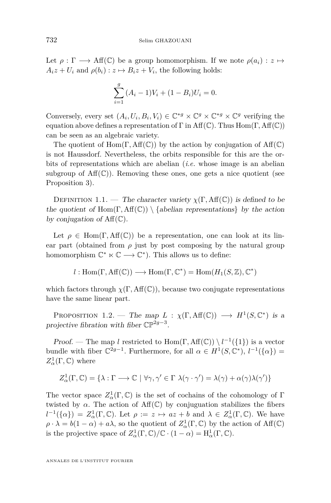Let  $\rho : \Gamma \longrightarrow Aff(\mathbb{C})$  be a group homomorphism. If we note  $\rho(a_i) : z \mapsto$  $A_i z + U_i$  and  $\rho(b_i) : z \mapsto B_i z + V_i$ , the following holds:

$$
\sum_{i=1}^{g} (A_i - 1)V_i + (1 - B_i)U_i = 0.
$$

Conversely, every set  $(A_i, U_i, B_i, V_i) \in \mathbb{C}^{*g} \times \mathbb{C}^g \times \mathbb{C}^{*g} \times \mathbb{C}^g$  verifying the equation above defines a representation of Γ in Aff(C). Thus Hom(Γ*,* Aff(C)) can be seen as an algebraic variety.

The quotient of  $Hom(\Gamma, Aff(\mathbb{C}))$  by the action by conjugation of  $Aff(\mathbb{C})$ is not Haussdorf. Nevertheless, the orbits responsible for this are the orbits of representations which are abelian (*i.e.* whose image is an abelian subgroup of  $\text{Aff}(\mathbb{C})$ ). Removing these ones, one gets a nice quotient (see Proposition 3).

DEFINITION 1.1. — The character variety  $\chi(\Gamma, \text{Aff}(\mathbb{C}))$  is defined to be the quotient of Hom( $\Gamma$ , Aff( $\mathbb{C}$ )) \ {abelian representations} by the action by conjugation of  $Aff(\mathbb{C})$ .

Let  $\rho \in \text{Hom}(\Gamma, \text{Aff}(\mathbb{C}))$  be a representation, one can look at its linear part (obtained from  $\rho$  just by post composing by the natural group homomorphism  $\mathbb{C}^* \ltimes \mathbb{C} \longrightarrow \mathbb{C}^*$ ). This allows us to define:

$$
l: \text{Hom}(\Gamma, \text{Aff}(\mathbb{C})) \longrightarrow \text{Hom}(\Gamma, \mathbb{C}^*) = \text{Hom}(H_1(S, \mathbb{Z}), \mathbb{C}^*)
$$

which factors through  $\chi(\Gamma, \text{Aff}(\mathbb{C}))$ , because two conjugate representations have the same linear part.

PROPOSITION 1.2. — The map  $L : \chi(\Gamma, \text{Aff}(\mathbb{C})) \longrightarrow H^1(S, \mathbb{C}^*)$  is a projective fibration with fiber  $\mathbb{CP}^{2g-3}$ .

Proof. — The map *l* restricted to  $Hom(\Gamma, Aff(\mathbb{C})) \setminus l^{-1}(\{1\})$  is a vector bundle with fiber  $\mathbb{C}^{2g-1}$ . Furthermore, for all  $\alpha \in H^1(S, \mathbb{C}^*)$ ,  $l^{-1}(\{\alpha\}) =$  $Z^1_\alpha(\Gamma,\mathbb{C})$  where

$$
Z^1_\alpha(\Gamma,\mathbb{C})=\{\lambda:\Gamma\longrightarrow\mathbb{C}\ |\ \forall\gamma,\gamma'\in\Gamma\ \lambda(\gamma\cdot\gamma')=\lambda(\gamma)+\alpha(\gamma)\lambda(\gamma')\}
$$

The vector space  $Z^1_\alpha(\Gamma,\mathbb{C})$  is the set of cochains of the cohomology of  $\Gamma$ twisted by  $\alpha$ . The action of Aff(C) by conjuguation stabilizes the fibers  $l^{-1}(\{\alpha\}) = Z^1_\alpha(\Gamma, \mathbb{C})$ . Let  $\rho := z \mapsto az + b$  and  $\lambda \in Z^1_\alpha(\Gamma, \mathbb{C})$ . We have  $\rho \cdot \lambda = b(1 - \alpha) + a\lambda$ , so the quotient of  $Z^1_\alpha(\Gamma, \mathbb{C})$  by the action of Aff( $\mathbb{C}$ ) is the projective space of  $Z^1_\alpha(\Gamma, \mathbb{C})/\mathbb{C} \cdot (1 - \alpha) = H^1_\alpha(\Gamma, \mathbb{C})$ .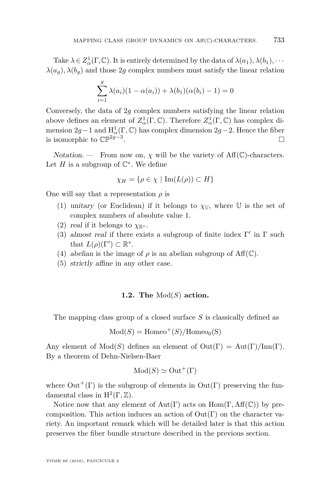Take  $\lambda \in Z^1_\alpha(\Gamma, \mathbb{C})$ . It is entirely determined by the data of  $\lambda(a_1), \lambda(b_1), \cdots$  $\lambda(a_q)$ ,  $\lambda(b_q)$  and those 2*g* complex numbers must satisfy the linear relation

$$
\sum_{i=1}^{g} \lambda(a_i)(1 - \alpha(a_i)) + \lambda(b_1)(\alpha(b_i) - 1) = 0
$$

Conversely, the data of 2*g* complex numbers satisfying the linear relation above defines an element of  $Z^1_\alpha(\Gamma, \mathbb{C})$ . Therefore  $Z^1_\alpha(\Gamma, \mathbb{C})$  has complex dimension 2*g*−1 and  $H^1_\alpha(\Gamma, \mathbb{C})$  has complex dimension 2*g*−2. Hence the fiber is isomorphic to  $\mathbb{CP}^{2g-3}$ . .

Notation. — From now on,  $\chi$  will be the variety of Aff(C)-characters. Let  $H$  is a subgroup of  $\mathbb{C}^*$ . We define

$$
\chi_H = \{ \rho \in \chi \mid \text{Im}(L(\rho)) \subset H \}
$$

One will say that a representation  $\rho$  is

- (1) unitary (or Euclidean) if it belongs to  $\chi_{\mathbb{U}}$ , where U is the set of complex numbers of absolute value 1.
- (2) real if it belongs to  $\chi_{\mathbb{R}^*}$ .
- (3) almost real if there exists a subgroup of finite index  $\Gamma'$  in  $\Gamma$  such that  $L(\rho)(\Gamma') \subset \mathbb{R}^*$ .
- (4) abelian is the image of  $\rho$  is an abelian subgroup of Aff(C).
- (5) strictly affine in any other case.

#### **1.2. The** Mod(*S*) **action.**

The mapping class group of a closed surface *S* is classically defined as

$$
Mod(S) = Homeo^+(S)/Homeo_0(S)
$$

Any element of  $Mod(S)$  defines an element of  $Out(\Gamma) = Aut(\Gamma)/Inn(\Gamma)$ . By a theorem of Dehn-Nielsen-Baer

$$
Mod(S) \simeq Out^+(\Gamma)
$$

where  $Out^+(\Gamma)$  is the subgroup of elements in  $Out(\Gamma)$  preserving the fundamental class in  $H^2(\Gamma, \mathbb{Z})$ .

Notice now that any element of Aut(Γ) acts on Hom(Γ*,* Aff(C)) by precomposition. This action induces an action of  $Out(Γ)$  on the character variety. An important remark which will be detailed later is that this action preserves the fiber bundle structure described in the previous section.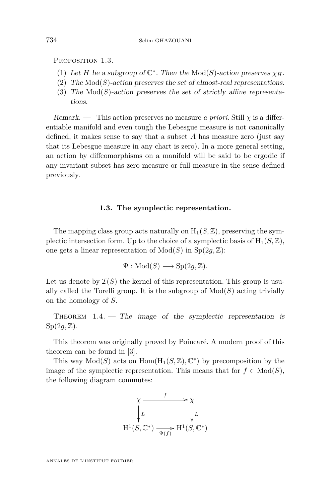PROPOSITION 1.3.

- (1) Let *H* be a subgroup of  $\mathbb{C}^*$ . Then the Mod(*S*)-action preserves  $\chi_H$ .
- (2) The  $Mod(S)$ -action preserves the set of almost-real representations.
- (3) The  $Mod(S)$ -action preserves the set of strictly affine representations.

Remark. — This action preserves no measure *a priori*. Still *χ* is a differentiable manifold and even tough the Lebesgue measure is not canonically defined, it makes sense to say that a subset *A* has measure zero (just say that its Lebesgue measure in any chart is zero). In a more general setting, an action by diffeomorphisms on a manifold will be said to be ergodic if any invariant subset has zero measure or full measure in the sense defined previously.

## **1.3. The symplectic representation.**

The mapping class group acts naturally on  $H_1(S, \mathbb{Z})$ , preserving the symplectic intersection form. Up to the choice of a symplectic basis of  $H_1(S, \mathbb{Z})$ , one gets a linear representation of  $Mod(S)$  in  $Sp(2q, \mathbb{Z})$ :

$$
\Psi: \mathrm{Mod}(S) \longrightarrow \mathrm{Sp}(2g,\mathbb{Z}).
$$

Let us denote by  $\mathcal{I}(S)$  the kernel of this representation. This group is usually called the Torelli group. It is the subgroup of  $Mod(S)$  acting trivially on the homology of *S*.

THEOREM  $1.4.$  — The image of the symplectic representation is  $Sp(2q,\mathbb{Z})$ .

This theorem was originally proved by Poincaré. A modern proof of this theorem can be found in [\[3\]](#page-23-4).

This way  $Mod(S)$  acts on  $Hom(H_1(S, \mathbb{Z}), \mathbb{C}^*)$  by precomposition by the image of the symplectic representation. This means that for  $f \in Mod(S)$ , the following diagram commutes:



ANNALES DE L'INSTITUT FOURIER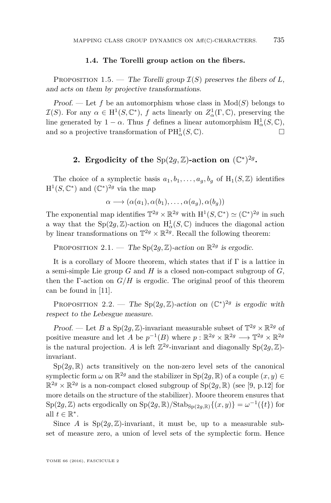#### **1.4. The Torelli group action on the fibers.**

PROPOSITION 1.5. — The Torelli group  $\mathcal{I}(S)$  preserves the fibers of L, and acts on them by projective transformations.

Proof. — Let f be an automorphism whose class in  $Mod(S)$  belongs to  $\mathcal{I}(S)$ . For any  $\alpha \in H^1(S, \mathbb{C}^*)$ , f acts linearly on  $Z^1_\alpha(\Gamma, \mathbb{C})$ , preserving the line generated by  $1 - \alpha$ . Thus *f* defines a linear automorphism  $H^1_\alpha(S, \mathbb{C}),$ and so a projective transformation of  $PH^1_\alpha(S, \mathbb{C})$ .

## **2.** Ergodicity of the Sp $(2g, \mathbb{Z})$ -action on  $(\mathbb{C}^*)^{2g}$ .

<span id="page-7-0"></span>The choice of a symplectic basis  $a_1, b_1, \ldots, a_g, b_g$  of  $H_1(S, \mathbb{Z})$  identifies  $H^1(S, \mathbb{C}^*)$  and  $(\mathbb{C}^*)^{2g}$  via the map

$$
\alpha \longrightarrow (\alpha(a_1), \alpha(b_1), \dots, \alpha(a_g), \alpha(b_g))
$$

The exponential map identifies  $\mathbb{T}^{2g} \times \mathbb{R}^{2g}$  with  $H^1(S, \mathbb{C}^*) \simeq (\mathbb{C}^*)^{2g}$  in such a way that the  $\text{Sp}(2g, \mathbb{Z})$ -action on  $H^1_\alpha(S, \mathbb{C})$  induces the diagonal action by linear transformations on  $\mathbb{T}^{2g} \times \mathbb{R}^{2g}$ . Recall the following theorem:

PROPOSITION 2.1. — The Sp $(2g, \mathbb{Z})$ -action on  $\mathbb{R}^{2g}$  is ergodic.

It is a corollary of Moore theorem, which states that if Γ is a lattice in a semi-simple Lie group *G* and *H* is a closed non-compact subgroup of *G*, then the  $\Gamma$ -action on  $G/H$  is ergodic. The original proof of this theorem can be found in [\[11\]](#page-23-5).

PROPOSITION 2.2. — The Sp(2g, Z)-action on  $(\mathbb{C}^*)^{2g}$  is ergodic with respect to the Lebesgue measure.

Proof. — Let *B* a Sp $(2g, \mathbb{Z})$ -invariant measurable subset of  $\mathbb{T}^{2g} \times \mathbb{R}^{2g}$  of positive measure and let *A* be  $p^{-1}(B)$  where  $p : \mathbb{R}^{2g} \times \mathbb{R}^{2g} \longrightarrow \mathbb{T}^{2g} \times \mathbb{R}^{2g}$ is the natural projection. A is left  $\mathbb{Z}^{2g}$ -invariant and diagonally  $Sp(2g, \mathbb{Z})$ invariant.

 $Sp(2g,\mathbb{R})$  acts transitively on the non-zero level sets of the canonical symplectic form  $\omega$  on  $\mathbb{R}^{2g}$  and the stabilizer in  $Sp(2g, \mathbb{R})$  of a couple  $(x, y) \in$  $\mathbb{R}^{2g} \times \mathbb{R}^{2g}$  is a non-compact closed subgroup of  $Sp(2g, \mathbb{R})$  (see [\[9,](#page-23-2) p.12] for more details on the structure of the stabilizer). Moore theorem ensures that  $\text{Sp}(2g,\mathbb{Z})$  acts ergodically on  $\text{Sp}(2g,\mathbb{R})/\text{Stab}_{\text{Sp}(2g,\mathbb{R})}\{(x,y)\}=\omega^{-1}(\{t\})$  for all  $t \in \mathbb{R}^*$ .

Since *A* is  $Sp(2g, \mathbb{Z})$ -invariant, it must be, up to a measurable subset of measure zero, a union of level sets of the symplectic form. Hence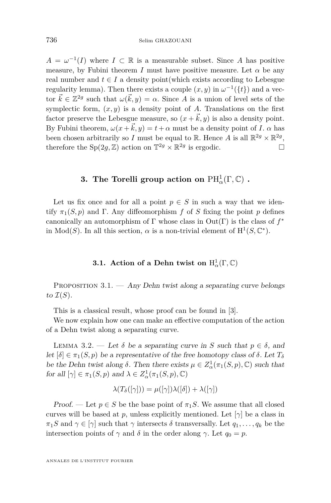$A = \omega^{-1}(I)$  where  $I \subset \mathbb{R}$  is a measurable subset. Since *A* has positive measure, by Fubini theorem *I* must have positive measure. Let  $\alpha$  be any real number and  $t \in I$  a density point(which exists according to Lebesgue regularity lemma). Then there exists a couple  $(x, y)$  in  $\omega^{-1}(\{t\})$  and a vector  $\vec{k} \in \mathbb{Z}^{2g}$  such that  $\omega(\vec{k}, y) = \alpha$ . Since *A* is a union of level sets of the symplectic form,  $(x, y)$  is a density point of *A*. Translations on the first factor preserve the Lebesgue measure, so  $(x + \vec{k}, y)$  is also a density point. By Fubini theorem,  $\omega(x+\vec{k},y) = t+\alpha$  must be a density point of *I*.  $\alpha$  has been chosen arbitrarily so *I* must be equal to R. Hence *A* is all  $\mathbb{R}^2$ <sup>*g*</sup>  $\times$   $\mathbb{R}^2$ <sup>*g*</sup>, therefore the  $Sp(2g, \mathbb{Z})$  action on  $\mathbb{T}^{2g} \times \mathbb{R}^{2g}$  is ergodic.

## **3.** The Torelli group action on  $\mathrm{PH}^1_\alpha(\Gamma,\mathbb{C})$  .

<span id="page-8-0"></span>Let us fix once and for all a point  $p \in S$  in such a way that we identify  $\pi_1(S, p)$  and Γ. Any diffeomorphism *f* of *S* fixing the point *p* defines canonically an automorphism of Γ whose class in Out(Γ) is the class of *f* ∗ in  $Mod(S)$ . In all this section,  $\alpha$  is a non-trivial element of  $H^1(S, \mathbb{C}^*)$ .

## **3.1.** Action of a Dehn twist on  $H^1_\alpha(\Gamma, \mathbb{C})$

PROPOSITION  $3.1.$  — Any Dehn twist along a separating curve belongs to  $\mathcal{I}(S)$ .

This is a classical result, whose proof can be found in [\[3\]](#page-23-4).

We now explain how one can make an effective computation of the action of a Dehn twist along a separating curve.

<span id="page-8-1"></span>LEMMA 3.2. — Let  $\delta$  be a separating curve in *S* such that  $p \in \delta$ , and let  $[\delta] \in \pi_1(S, p)$  be a representative of the free homotopy class of  $\delta$ . Let  $T_{\delta}$ be the Dehn twist along  $\delta$ . Then there exists  $\mu \in Z^1_\alpha(\pi_1(S, p), \mathbb{C})$  such that for all  $[\gamma] \in \pi_1(S, p)$  and  $\lambda \in Z^1_\alpha(\pi_1(S, p), \mathbb{C})$ 

$$
\lambda(T_{\delta}([\gamma])) = \mu([\gamma])\lambda([\delta]) + \lambda([\gamma])
$$

Proof. — Let  $p \in S$  be the base point of  $\pi_1 S$ . We assume that all closed curves will be based at *p*, unless explicitly mentioned. Let  $[\gamma]$  be a class in *π*<sub>1</sub>*S* and  $\gamma \in [\gamma]$  such that  $\gamma$  intersects  $\delta$  transversally. Let  $q_1, \ldots, q_k$  be the intersection points of  $\gamma$  and  $\delta$  in the order along  $\gamma$ . Let  $q_0 = p$ .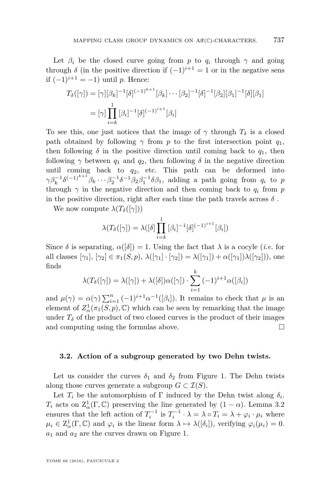Let  $\beta_i$  be the closed curve going from *p* to  $q_i$  through  $\gamma$  and going through  $\delta$  (in the positive direction if  $(-1)^{i+1} = 1$  or in the negative sens if (−1)*i*+1 = −1) until *p*. Hence:

$$
T_{\delta}([\gamma]) = [\gamma][\beta_k]^{-1}[\delta]^{(-1)^{k+1}}[\beta_k] \cdots [\beta_2]^{-1}[\delta]^{-1}[\beta_2][\beta_1]^{-1}[\delta][\beta_1]
$$
  
=  $[\gamma] \prod_{i=k}^{1} [\beta_i]^{-1}[\delta]^{(-1)^{i+1}}[\beta_i]$ 

To see this, one just notices that the image of  $\gamma$  through  $T_\delta$  is a closed path obtained by following  $\gamma$  from *p* to the first intersection point  $q_1$ , then following  $\delta$  in the positive direction until coming back to  $q_1$ , then following  $\gamma$  between  $q_1$  and  $q_2$ , then following  $\delta$  in the negative direction until coming back to  $q_2$ , etc. This path can be deformed into  $\gamma \beta_k^{-1} \delta^{(-1)^{k+1}} \beta_k \cdots \beta_2^{-1} \delta^{-1} \beta_2 \beta_1^{-1} \delta \beta_1$ , adding a path going from  $q_i$  to *p* through  $\gamma$  in the negative direction and then coming back to  $q_i$  from  $p$ in the positive direction, right after each time the path travels across  $\delta$ .

We now compute  $\lambda(T_\delta([\gamma]))$ 

$$
\lambda(T_{\delta}([\gamma]) = \lambda([\delta] \prod_{i=k}^{1} [\beta_i]^{-1} [\delta]^{(-1)^{i+1}} [\beta_i])
$$

Since  $\delta$  is separating,  $\alpha([\delta]) = 1$ . Using the fact that  $\lambda$  is a cocyle *(i.e.* for all classes  $[\gamma_1], [\gamma_2] \in \pi_1(S, p)$ ,  $\lambda([\gamma_1] \cdot [\gamma_2]) = \lambda([\gamma_1]) + \alpha([\gamma_1])\lambda([\gamma_2])$ , one finds

$$
\lambda(T_{\delta}([\gamma]) = \lambda([\gamma]) + \lambda([\delta])\alpha([\gamma]) \cdot \sum_{i=1}^{k} (-1)^{i+1} \alpha([\beta_i])
$$

and  $\mu(\gamma) = \alpha(\gamma) \sum_{i=1}^n (-1)^{i+1} \alpha^{-1}([\beta_i])$ . It remains to check that  $\mu$  is an element of  $Z^1_\alpha(\pi_1(S, p), \mathbb{C})$  which can be seen by remarking that the image under  $T_{\delta}$  of the product of two closed curves is the product of their images and computing using the formulas above.

## **3.2. Action of a subgroup generated by two Dehn twists.**

Let us consider the curves  $\delta_1$  and  $\delta_2$  from Figure 1. The Dehn twists along those curves generate a subgroup  $G \subset \mathcal{I}(S)$ .

Let  $T_i$  be the automorphism of  $\Gamma$  induced by the Dehn twist along  $\delta_i$ . *T*<sub>*i*</sub> acts on  $\mathbb{Z}_{\alpha}^1(\Gamma,\mathbb{C})$  preserving the line generated by  $(1-\alpha)$ . Lemma [3.2](#page-8-1) ensures that the left action of  $T_i^{-1}$  is  $T_i^{-1} \cdot \lambda = \lambda \circ T_i = \lambda + \varphi_i \cdot \mu_i$  where  $\mu_i \in \mathbb{Z}^1_\alpha(\Gamma, \mathbb{C})$  and  $\varphi_i$  is the linear form  $\lambda \mapsto \lambda([\delta_i])$ , verifying  $\varphi_i(\mu_i) = 0$ . *a*<sup>1</sup> and *a*<sup>2</sup> are the curves drawn on Figure 1.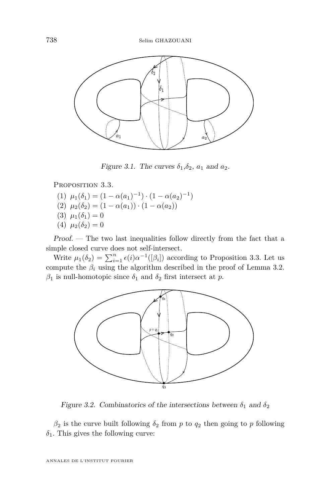

Figure 3.1. The curves  $\delta_1, \delta_2, a_1$  and  $a_2$ .

<span id="page-10-0"></span>PROPOSITION 3.3.

- (1)  $\mu_1(\delta_1) = (1 \alpha(a_1)^{-1}) \cdot (1 \alpha(a_2)^{-1})$
- (2)  $\mu_2(\delta_2) = (1 \alpha(a_1)) \cdot (1 \alpha(a_2))$
- (3)  $\mu_1(\delta_1) = 0$
- (4)  $\mu_2(\delta_2) = 0$

Proof. — The two last inequalities follow directly from the fact that a simple closed curve does not self-intersect.

Write  $\mu_1(\delta_2) = \sum_{i=1}^n \epsilon(i) \alpha^{-1}([\beta_i])$  according to Proposition [3.3.](#page-10-0) Let us compute the  $\beta_i$  using the algorithm described in the proof of Lemma [3.2.](#page-8-1)  $β$ <sub>1</sub> is null-homotopic since  $δ$ <sub>1</sub> and  $δ$ <sub>2</sub> first intersect at *p*.



Figure 3.2. Combinatorics of the intersections between  $\delta_1$  and  $\delta_2$ 

 $\beta_2$  is the curve built following  $\delta_2$  from *p* to  $q_2$  then going to *p* following  $\delta_1$ . This gives the following curve: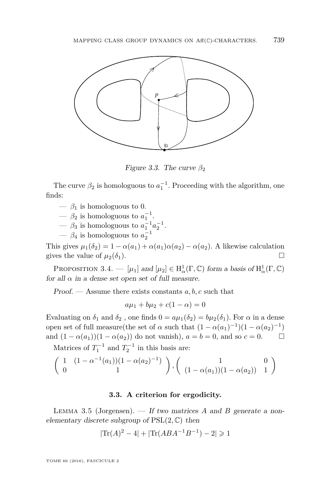

Figure 3.3. The curve  $\beta_2$ 

The curve  $\beta_2$  is homologuous to  $a_1^{-1}$ . Proceeding with the algorithm, one finds:

- $-\beta_1$  is homologuous to 0.
- $\beta_2$  is homologuous to  $a_1^{-1}$ .
- $\beta_3$  is homologuous to  $a_1^{-1}a_2^{-1}$ .
- $\beta_4$  is homologuous to  $a_2^{-1}$

This gives  $\mu_1(\delta_2) = 1 - \alpha(a_1) + \alpha(a_1)\alpha(a_2) - \alpha(a_2)$ . A likewise calculation gives the value of  $\mu_2(\delta_1)$ .

PROPOSITION 3.4. —  $[\mu_1]$  and  $[\mu_2] \in H^1_\alpha(\Gamma, \mathbb{C})$  form a basis of  $H^1_\alpha(\Gamma, \mathbb{C})$ for all  $\alpha$  in a dense set open set of full measure.

Proof. — Assume there exists constants *a, b, c* such that

$$
a\mu_1 + b\mu_2 + c(1 - \alpha) = 0
$$

Evaluating on  $\delta_1$  and  $\delta_2$ , one finds  $0 = a\mu_1(\delta_2) = b\mu_2(\delta_1)$ . For  $\alpha$  in a dense open set of full measure(the set of  $\alpha$  such that  $(1 - \alpha(a_1)^{-1})(1 - \alpha(a_2)^{-1})$ and  $(1 - \alpha(a_1))(1 - \alpha(a_2))$  do not vanish),  $a = b = 0$ , and so  $c = 0$ .  $\Box$ 

Matrices of  $T_1^{-1}$  and  $T_2^{-1}$  in this basis are:

$$
\left(\begin{array}{cc} 1 & (1 - \alpha^{-1}(a_1))(1 - \alpha(a_2)^{-1}) \\ 0 & 1 \end{array}\right), \left(\begin{array}{cc} 1 & 0 \\ (1 - \alpha(a_1))(1 - \alpha(a_2)) & 1 \end{array}\right)
$$

## **3.3. A criterion for ergodicity.**

Lemma 3.5 (Jorgensen). — If two matrices *A* and *B* generate a nonelementary discrete subgroup of PSL(2*,* C) then

$$
|\text{Tr}(A)^2 - 4| + |\text{Tr}(ABA^{-1}B^{-1}) - 2| \ge 1
$$

TOME 66 (2016), FASCICULE 2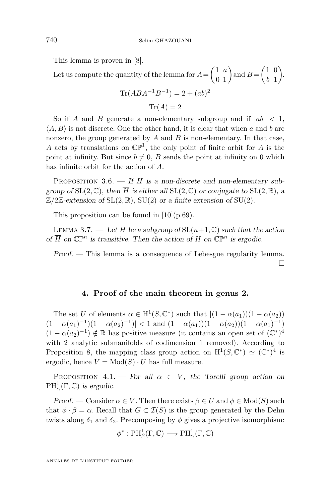This lemma is proven in [\[8\]](#page-23-6).

Let us compute the quantity of the lemma for  $A = \begin{pmatrix} 1 & a \\ 0 & 1 \end{pmatrix}$  and  $B = \begin{pmatrix} 1 & 0 \\ b & 1 \end{pmatrix}$ *b* 1 .  $\text{Tr}(ABA^{-1}B^{-1})=2+(ab)^2$  $Tr(A) = 2$ 

So if *A* and *B* generate a non-elementary subgroup and if  $|ab| < 1$ ,  $\langle A, B \rangle$  is not discrete. One the other hand, it is clear that when *a* and *b* are nonzero, the group generated by *A* and *B* is non-elementary. In that case, *A* acts by translations on  $\mathbb{CP}^1$ , the only point of finite orbit for *A* is the point at infinity. But since  $b \neq 0$ , *B* sends the point at infinity on 0 which has infinite orbit for the action of *A*.

PROPOSITION 3.6. — If *H* is a non-discrete and non-elementary subgroup of  $SL(2,\mathbb{C})$ , then  $\overline{H}$  is either all  $SL(2,\mathbb{C})$  or conjugate to  $SL(2,\mathbb{R})$ , a  $\mathbb{Z}/2\mathbb{Z}$ -extension of SL $(2,\mathbb{R})$ , SU $(2)$  or a finite extension of SU $(2)$ .

This proposition can be found in  $[10](p.69)$  $[10](p.69)$ .

<span id="page-12-0"></span>LEMMA 3.7. — Let *H* be a subgroup of  $SL(n+1, \mathbb{C})$  such that the action of  $\overline{H}$  on  $\mathbb{CP}^n$  is transitive. Then the action of  $H$  on  $\mathbb{CP}^n$  is ergodic.

Proof. — This lemma is a consequence of Lebesgue regularity lemma. П

## **4. Proof of the main theorem in genus 2.**

The set *U* of elements  $\alpha \in H^1(S, \mathbb{C}^*)$  such that  $|(1 - \alpha(a_1))(1 - \alpha(a_2))$  $(1 - \alpha(a_1)^{-1})(1 - \alpha(a_2)^{-1}) < 1$  and  $(1 - \alpha(a_1))(1 - \alpha(a_2))(1 - \alpha(a_1)^{-1})$  $(1 - \alpha(a_2)^{-1}) \notin \mathbb{R}$  has positive measure (it contains an open set of  $(\mathbb{C}^*)^4$ with 2 analytic submanifolds of codimension 1 removed). According to Proposition 8, the mapping class group action on  $H^1(S, \mathbb{C}^*) \simeq (\mathbb{C}^*)^4$  is ergodic, hence  $V = Mod(S) \cdot U$  has full measure.

<span id="page-12-1"></span>PROPOSITION 4.1. — For all  $\alpha \in V$ , the Torelli group action on  $PH^1_\alpha(\Gamma,\mathbb{C})$  is ergodic.

Proof. — Consider  $\alpha \in V$ . Then there exists  $\beta \in U$  and  $\phi \in Mod(S)$  such that  $\phi \cdot \beta = \alpha$ . Recall that  $G \subset \mathcal{I}(S)$  is the group generated by the Dehn twists along  $\delta_1$  and  $\delta_2$ . Precomposing by  $\phi$  gives a projective isomorphism:

$$
\phi^*: PH^1_\beta(\Gamma,\mathbb{C})\longrightarrow PH^1_\alpha(\Gamma,\mathbb{C})
$$

ANNALES DE L'INSTITUT FOURIER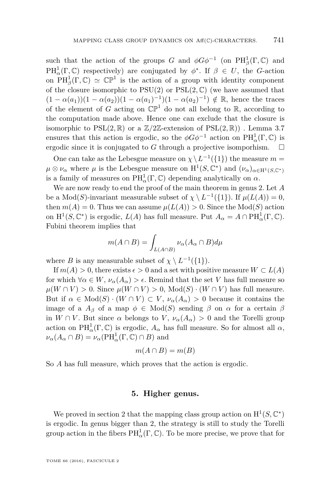such that the action of the groups *G* and  $\phi G \phi^{-1}$  (on PH<sub> $_{\beta}^1$ </sub>(Γ*,* C) and  $PH^1_\alpha(\Gamma, \mathbb{C})$  respectively) are conjugated by  $\phi^*$ . If  $\beta \in U$ , the *G*-action on  $PH^1_\beta(\Gamma,\mathbb{C}) \simeq \mathbb{CP}^1$  is the action of a group with identity component of the closure isomorphic to  $PSU(2)$  or  $PSL(2,\mathbb{C})$  (we have assumed that  $(1 - \alpha(a_1))(1 - \alpha(a_2))(1 - \alpha(a_1)^{-1})(1 - \alpha(a_2)^{-1}) \notin \mathbb{R}$ , hence the traces of the element of *G* acting on  $\mathbb{CP}^1$  do not all belong to R, according to the computation made above. Hence one can exclude that the closure is isomorphic to  $PSL(2,\mathbb{R})$  or a  $\mathbb{Z}/2\mathbb{Z}$ -extension of  $PSL(2,\mathbb{R})$ ). Lemma [3.7](#page-12-0) ensures that this action is ergodic, so the  $\phi G \phi^{-1}$  action on  $\text{PH}^1_\alpha(\Gamma, \mathbb{C})$  is ergodic since it is conjugated to G through a projective isomporhism.  $\square$ 

One can take as the Lebesgue measure on  $\chi \setminus L^{-1}(\{1\})$  the measure  $m =$  $\mu \otimes \nu_\alpha$  where  $\mu$  is the Lebesgue measure on  $H^1(S, \mathbb{C}^*)$  and  $(\nu_\alpha)_{\alpha \in H^1(S, \mathbb{C}^*)}$ is a family of measures on  $\text{PH}^1_\alpha(\Gamma,\mathbb{C})$  depending analytically on  $\alpha$ .

We are now ready to end the proof of the main theorem in genus 2. Let *A* be a  $Mod(S)$ -invariant measurable subset of  $\chi \setminus L^{-1}(\{1\})$ . If  $\mu(L(A)) = 0$ , then  $m(A) = 0$ . Thus we can assume  $\mu(L(A)) > 0$ . Since the Mod(*S*) action on  $H^1(S, \mathbb{C}^*)$  is ergodic,  $L(A)$  has full measure. Put  $A_\alpha = A \cap PH^1_\alpha(\Gamma, \mathbb{C})$ . Fubini theorem implies that

$$
m(A \cap B) = \int_{L(A \cap B)} \nu_{\alpha}(A_{\alpha} \cap B) d\mu
$$

where *B* is any measurable subset of  $\chi \setminus L^{-1}(\{1\}).$ 

If  $m(A) > 0$ , there exists  $\epsilon > 0$  and a set with positive measure  $W \subset L(A)$ for which  $\forall \alpha \in W$ ,  $\nu_{\alpha}(A_{\alpha}) > \epsilon$ . Remind that the set *V* has full measure so  $\mu(W \cap V) > 0$ . Since  $\mu(W \cap V) > 0$ , Mod(*S*) · (*W*  $\cap$  *V*) has full measure. But if  $\alpha \in Mod(S) \cdot (W \cap V) \subset V$ ,  $\nu_{\alpha}(A_{\alpha}) > 0$  because it contains the image of a  $A_\beta$  of a map  $\phi \in Mod(S)$  sending  $\beta$  on  $\alpha$  for a certain  $\beta$ in  $W \cap V$ . But since  $\alpha$  belongs to  $V$ ,  $\nu_{\alpha}(A_{\alpha}) > 0$  and the Torelli group action on  $\text{PH}^1_\alpha(\Gamma,\mathbb{C})$  is ergodic,  $A_\alpha$  has full measure. So for almost all  $\alpha$ ,  $\nu_{\alpha}(A_{\alpha} \cap B) = \nu_{\alpha}(\text{PH}^1_{\alpha}(\Gamma, \mathbb{C}) \cap B)$  and

$$
m(A \cap B) = m(B)
$$

So *A* has full measure, which proves that the action is ergodic.

## **5. Higher genus.**

We proved in section [2](#page-7-0) that the mapping class group action on  $H^1(S, \mathbb{C}^*)$ is ergodic. In genus bigger than 2, the strategy is still to study the Torelli group action in the fibers  $PH^1_\alpha(\Gamma,\mathbb{C})$ . To be more precise, we prove that for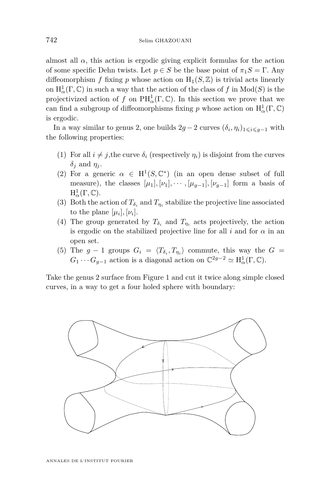almost all  $\alpha$ , this action is ergodic giving explicit formulas for the action of some specific Dehn twists. Let  $p \in S$  be the base point of  $\pi_1 S = \Gamma$ . Any diffeomorphism *f* fixing *p* whose action on  $H_1(S, \mathbb{Z})$  is trivial acts linearly on  $\mathrm{H}^1_\alpha(\Gamma,\mathbb{C})$  in such a way that the action of the class of  $f$  in  $\mathrm{Mod}(S)$  is the projectivized action of *f* on  $\text{PH}^1_\alpha(\Gamma,\mathbb{C})$ . In this section we prove that we can find a subgroup of diffeomorphisms fixing *p* whose action on  $H^1_\alpha(\Gamma, \mathbb{C})$ is ergodic.

In a way similar to genus 2, one builds  $2g - 2$  curves  $(\delta_i, \eta_i)_{1 \leq i \leq g-1}$  with the following properties:

- (1) For all  $i \neq j$ , the curve  $\delta_i$  (respectively  $\eta_i$ ) is disjoint from the curves *δ<sup>j</sup>* and *η<sup>j</sup>* .
- (2) For a generic  $\alpha \in H^1(S, \mathbb{C}^*)$  (in an open dense subset of full measure), the classes  $[\mu_1], [\nu_1], \cdots, [\mu_{q-1}], [\nu_{q-1}]$  form a basis of  $\mathrm{H}^1_\alpha(\Gamma,\mathbb{C}).$
- (3) Both the action of  $T_{\delta_i}$  and  $T_{\eta_i}$  stabilize the projective line associated to the plane  $[\mu_i], [\nu_i]$ .
- (4) The group generated by  $T_{\delta_i}$  and  $T_{\eta_i}$  acts projectively, the action is ergodic on the stabilized projective line for all  $i$  and for  $\alpha$  in an open set.
- (5) The  $g 1$  groups  $G_i = \langle T_{\delta_i}, T_{\eta_i} \rangle$  commute, this way the  $G =$  $G_1 \cdots G_{g-1}$  action is a diagonal action on  $\mathbb{C}^{2g-2} \simeq \mathrm{H}^1_\alpha(\Gamma, \mathbb{C})$ .

Take the genus 2 surface from Figure 1 and cut it twice along simple closed curves, in a way to get a four holed sphere with boundary:

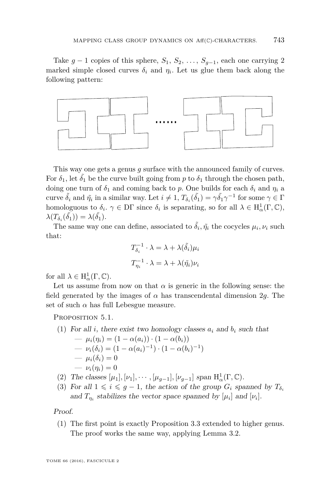Take  $g-1$  copies of this sphere,  $S_1, S_2, \ldots, S_{g-1}$ , each one carrying 2 marked simple closed curves  $\delta_i$  and  $\eta_i$ . Let us glue them back along the following pattern:



This way one gets a genus *g* surface with the announced family of curves. For  $\delta_1$ , let  $\tilde{\delta_1}$  be the curve built going from  $p$  to  $\delta_1$  through the chosen path, doing one turn of  $\delta_1$  and coming back to *p*. One builds for each  $\delta_i$  and  $\eta_i$  a curve  $\tilde{\delta}_i$  and  $\tilde{\eta}_i$  in a similar way. Let  $i \neq 1$ ,  $T_{\delta_i}(\tilde{\delta}_1) = \gamma \tilde{\delta}_1 \gamma^{-1}$  for some  $\gamma \in \Gamma$ homologuous to  $\delta_i$ .  $\gamma \in \text{DT}$  since  $\delta_i$  is separating, so for all  $\lambda \in H^1_\alpha(\Gamma, \mathbb{C})$ ,  $\lambda(T_{\delta_i}(\tilde{\delta_1})) = \lambda(\tilde{\delta_1}).$ 

The same way one can define, associated to  $\tilde{\delta}_i$ ,  $\tilde{\eta}_i$  the cocycles  $\mu_i$ ,  $\nu_i$  such that:

$$
T_{\delta_i}^{-1} \cdot \lambda = \lambda + \lambda(\tilde{\delta}_i)\mu_i
$$

$$
T_{\eta_i}^{-1} \cdot \lambda = \lambda + \lambda(\tilde{\eta}_i)\nu_i
$$

for all  $\lambda \in H^1_\alpha(\Gamma, \mathbb{C})$ .

Let us assume from now on that  $\alpha$  is generic in the following sense: the field generated by the images of  $\alpha$  has transcendental dimension 2g. The set of such  $\alpha$  has full Lebesgue measure.

PROPOSITION 5.1.

(1) For all *i*, there exist two homology classes 
$$
a_i
$$
 and  $b_i$  such that  
\n
$$
- \mu_i(\eta_i) = (1 - \alpha(a_i)) \cdot (1 - \alpha(b_i))
$$
\n
$$
- \nu_i(\delta_i) = (1 - \alpha(a_i)^{-1}) \cdot (1 - \alpha(b_i)^{-1})
$$
\n
$$
- \mu_i(\delta_i) = 0
$$
\n
$$
- \nu_i(\eta_i) = 0
$$

- (2) The classes  $[\mu_1], [\nu_1], \cdots, [\mu_{g-1}], [\nu_{g-1}]$  span  $H^1_\alpha(\Gamma, \mathbb{C})$ .
- (3) For all  $1 \leq i \leq g-1$ , the action of the group  $G_i$  spanned by  $T_{\delta_i}$ and  $T_{\eta_i}$  stabilizes the vector space spanned by  $[\mu_i]$  and  $[\nu_i]$ .

#### Proof.

(1) The first point is exactly Proposition [3.3](#page-10-0) extended to higher genus. The proof works the same way, applying Lemma [3.2.](#page-8-1)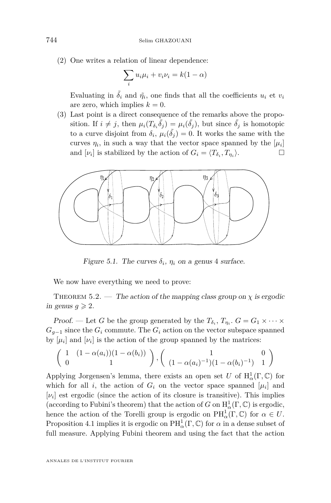(2) One writes a relation of linear dependence:

$$
\sum_i u_i \mu_i + v_i \nu_i = k(1 - \alpha)
$$

Evaluating in  $\tilde{\delta}_i$  and  $\tilde{\eta}_i$ , one finds that all the coefficients  $u_i$  et  $v_i$ are zero, which implies  $k = 0$ .

(3) Last point is a direct consequence of the remarks above the proposition. If  $i \neq j$ , then  $\mu_i(T_{\delta_i} \tilde{\delta}_j) = \mu_i(\tilde{\delta}_j)$ , but since  $\tilde{\delta}_j$  is homotopic to a curve disjoint from  $\delta_i$ ,  $\mu_i(\tilde{\delta}_j) = 0$ . It works the same with the curves  $\eta_i$ , in such a way that the vector space spanned by the  $[\mu_i]$ and  $[\nu_i]$  is stabilized by the action of  $G_i = \langle T_{\delta_i}, T_{\eta_i} \rangle$  $\rangle.$ 



Figure 5.1. The curves  $\delta_i$ ,  $\eta_i$  on a genus 4 surface.

We now have everything we need to prove:

<span id="page-16-0"></span>THEOREM 5.2. — The action of the mapping class group on  $\chi$  is ergodic in genus  $g \geqslant 2$ .

Proof. — Let *G* be the group generated by the  $T_{\delta_i}$ ,  $T_{\eta_i}$ .  $G = G_1 \times \cdots \times$  $G_{q-1}$  since the  $G_i$  commute. The  $G_i$  action on the vector subspace spanned by  $[\mu_i]$  and  $[\nu_i]$  is the action of the group spanned by the matrices:

$$
\left(\begin{array}{cc} 1 & (1 - \alpha(a_i))(1 - \alpha(b_i)) \\ 0 & 1 \end{array}\right), \left(\begin{array}{cc} 1 & 0 \\ (1 - \alpha(a_i)^{-1})(1 - \alpha(b_i)^{-1}) & 1 \end{array}\right)
$$

Applying Jorgensen's lemma, there exists an open set *U* of  $H^1_\alpha(\Gamma, \mathbb{C})$  for which for all *i*, the action of  $G_i$  on the vector space spanned  $[\mu_i]$  and  $[\nu_i]$  est ergodic (since the action of its closure is transitive). This implies (according to Fubini's theorem) that the action of *G* on  $H^1_\alpha(\Gamma, \mathbb{C})$  is ergodic, hence the action of the Torelli group is ergodic on  $PH^1_\alpha(\Gamma, \mathbb{C})$  for  $\alpha \in U$ . Proposition [4.1](#page-12-1) implies it is ergodic on  $PH^1_\alpha(\Gamma, \mathbb{C})$  for  $\alpha$  in a dense subset of full measure. Applying Fubini theorem and using the fact that the action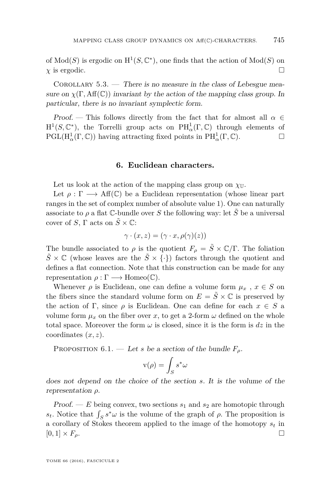of  $Mod(S)$  is ergodic on  $H^1(S, \mathbb{C}^*)$ , one finds that the action of  $Mod(S)$  on  $\chi$  is ergodic.

COROLLARY  $5.3.$  — There is no measure in the class of Lebesgue measure on  $\chi(\Gamma, \text{Aff}(\mathbb{C}))$  invariant by the action of the mapping class group. In particular, there is no invariant symplectic form.

Proof. — This follows directly from the fact that for almost all  $\alpha \in$  $H^1(S, \mathbb{C}^*)$ , the Torrelli group acts on  $PH^1_\alpha(\Gamma, \mathbb{C})$  through elements of  $PGL(H_\alpha^1(\Gamma, \mathbb{C}))$  having attracting fixed points in  $PH_\alpha^1(\Gamma, \mathbb{C})$ .

## **6. Euclidean characters.**

Let us look at the action of the mapping class group on  $\chi_{\mathbb{U}}$ .

Let  $\rho : \Gamma \longrightarrow Aff(\mathbb{C})$  be a Euclidean representation (whose linear part ranges in the set of complex number of absolute value 1). One can naturally associate to  $\rho$  a flat C-bundle over *S* the following way: let  $\tilde{S}$  be a universal cover of *S*,  $\Gamma$  acts on  $\tilde{S} \times \mathbb{C}$ :

$$
\gamma \cdot (x, z) = (\gamma \cdot x, \rho(\gamma)(z))
$$

The bundle associated to  $\rho$  is the quotient  $F_{\rho} = \tilde{S} \times \mathbb{C}/\Gamma$ . The foliation  $\tilde{S} \times \mathbb{C}$  (whose leaves are the  $\tilde{S} \times \{\cdot\}$ ) factors through the quotient and defines a flat connection. Note that this construction can be made for any representation  $\rho : \Gamma \longrightarrow \text{Homeo}(\mathbb{C})$ .

Whenever  $\rho$  is Euclidean, one can define a volume form  $\mu_x$ ,  $x \in S$  on the fibers since the standard volume form on  $E = \tilde{S} \times \mathbb{C}$  is preserved by the action of Γ, since  $\rho$  is Euclidean. One can define for each  $x \in S$  a volume form  $\mu_x$  on the fiber over *x*, to get a 2-form  $\omega$  defined on the whole total space. Moreover the form  $\omega$  is closed, since it is the form is  $dz$  in the coordinates (*x, z*).

PROPOSITION  $6.1.$  — Let *s* be a section of the bundle  $F_\rho$ .

$$
\mathbf{v}(\rho) = \int_S s^*\omega
$$

does not depend on the choice of the section *s*. It is the volume of the representation *ρ*.

Proof. —  $E$  being convex, two sections  $s_1$  and  $s_2$  are homotopic through *s*<sup>*t*</sup>. Notice that  $\int_S s^* \omega$  is the volume of the graph of *ρ*. The proposition is a corollary of Stokes theorem applied to the image of the homotopy *s<sup>t</sup>* in  $[0,1] \times F_\rho$ .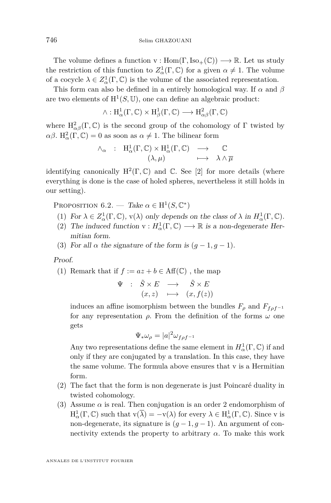The volume defines a function  $v : Hom(\Gamma, Iso_+(\mathbb{C})) \longrightarrow \mathbb{R}$ . Let us study the restriction of this function to  $Z^1_\alpha(\Gamma, \mathbb{C})$  for a given  $\alpha \neq 1$ . The volume of a cocycle  $\lambda \in Z^1_\alpha(\Gamma, \mathbb{C})$  is the volume of the associated representation.

This form can also be defined in a entirely homological way. If *α* and *β* are two elements of  $H^1(S, \mathbb{U})$ , one can define an algebraic product:

$$
\wedge: \mathrm{H}^1_{\alpha}(\Gamma, \mathbb{C}) \times \mathrm{H}^1_{\beta}(\Gamma, \mathbb{C}) \longrightarrow \mathrm{H}^2_{\alpha\beta}(\Gamma, \mathbb{C})
$$

where  $H^2_{\alpha\beta}(\Gamma,\mathbb{C})$  is the second group of the cohomology of  $\Gamma$  twisted by  $\alpha\beta$ . H<sub>α</sub><sup>2</sup>(Γ, C) = 0 as soon as  $\alpha \neq 1$ . The bilinear form

$$
\wedge_{\alpha} : H^1_{\alpha}(\Gamma, \mathbb{C}) \times H^1_{\alpha}(\Gamma, \mathbb{C}) \longrightarrow \mathbb{C}
$$

$$
(\lambda, \mu) \longmapsto \lambda \wedge \overline{\mu}
$$

identifying canonically  $H^2(\Gamma, \mathbb{C})$  and  $\mathbb{C}$ . See [\[2\]](#page-23-8) for more details (where everything is done is the case of holed spheres, nevertheless it still holds in our setting).

PROPOSITION 6.2. — Take  $\alpha \in H^1(S, \mathbb{C}^*)$ 

- (1) For  $\lambda \in Z^1_\alpha(\Gamma, \mathbb{C})$ ,  $v(\lambda)$  only depends on the class of  $\lambda$  in  $H^1_\alpha(\Gamma, \mathbb{C})$ .
- (2) The induced function  $v : H^1_\alpha(\Gamma, \mathbb{C}) \longrightarrow \mathbb{R}$  is a non-degenerate Hermitian form.
- (3) For all  $\alpha$  the signature of the form is  $(q-1, q-1)$ .

Proof.

(1) Remark that if 
$$
f := az + b \in \text{Aff}(\mathbb{C})
$$
, the map

$$
\begin{array}{cccc}\n\Psi & : & \tilde{S} \times E & \longrightarrow & \tilde{S} \times E \\
(x, z) & \longmapsto & (x, f(z))\n\end{array}
$$

induces an affine isomorphism between the bundles  $F_{\rho}$  and  $F_{f\rho f}$ <sup>-1</sup> for any representation *ρ*. From the definition of the forms *ω* one gets

$$
\Psi_* \omega_\rho = |a|^2 \omega_{f \rho f^{-1}}
$$

Any two representations define the same element in  $H^1_\alpha(\Gamma,\mathbb{C})$  if and only if they are conjugated by a translation. In this case, they have the same volume. The formula above ensures that v is a Hermitian form.

- (2) The fact that the form is non degenerate is just Poincaré duality in twisted cohomology.
- (3) Assume  $\alpha$  is real. Then conjugation is an order 2 endomorphism of  $H^1_\alpha(\Gamma, \mathbb{C})$  such that  $v(\overline{\lambda}) = -v(\lambda)$  for every  $\lambda \in H^1_\alpha(\Gamma, \mathbb{C})$ . Since v is non-degenerate, its signature is  $(q-1, q-1)$ . An argument of connectivity extends the property to arbitrary  $\alpha$ . To make this work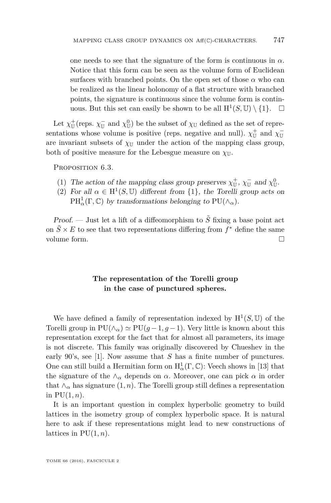one needs to see that the signature of the form is continuous in  $\alpha$ . Notice that this form can be seen as the volume form of Euclidean surfaces with branched points. On the open set of those  $\alpha$  who can be realized as the linear holonomy of a flat structure with branched points, the signature is continuous since the volume form is continuous. But this set can easily be shown to be all  $H^1(S, \mathbb{U}) \setminus \{1\}$ .  $\Box$ 

Let  $\chi^{\pm}_{\mathbb{U}}$  (reps.  $\chi^{\pm}_{\mathbb{U}}$  and  $\chi^0_{\mathbb{U}}$ ) be the subset of  $\chi_{\mathbb{U}}$  defined as the set of representations whose volume is positive (reps. negative and null).  $\chi^{\pm}_{\mathbb{U}}$  and  $\chi^{\pm}_{\mathbb{U}}$ are invariant subsets of  $\chi_{\mathbb{U}}$  under the action of the mapping class group, both of positive measure for the Lebesgue measure on  $\chi_{\mathbb{U}}$ .

PROPOSITION 6.3.

- (1) The action of the mapping class group preserves  $\chi_{\mathbb{U}}^+$ ,  $\chi_{\mathbb{U}}^-$  and  $\chi_{\mathbb{U}}^0$ .
- (2) For all  $\alpha \in H^1(S, \mathbb{U})$  different from  $\{1\}$ , the Torelli group acts on  $PH^1_\alpha(\Gamma, \mathbb{C})$  by transformations belonging to  $PU(\wedge_\alpha)$ .

Proof. — Just let a lift of a diffeomorphism to  $\tilde{S}$  fixing a base point act on  $\tilde{S} \times E$  to see that two representations differing from  $f^*$  define the same volume form.

## **The representation of the Torelli group in the case of punctured spheres.**

We have defined a family of representation indexed by  $H^1(S, \mathbb{U})$  of the Torelli group in  $PU(\wedge_{\alpha}) \simeq PU(g-1, g-1)$ . Very little is known about this representation except for the fact that for almost all parameters, its image is not discrete. This family was originally discovered by Chueshev in the early 90's, see [\[1\]](#page-22-0). Now assume that *S* has a finite number of punctures. One can still build a Hermitian form on  $\mathrm{H}^1_\alpha(\Gamma,\mathbb{C})$ : Veech shows in [\[13\]](#page-23-9) that the signature of the  $\land$ <sup>*α*</sup> depends on *α*. Moreover, one can pick *α* in order that  $\wedge_{\alpha}$  has signature  $(1, n)$ . The Torelli group still defines a representation in  $PU(1, n)$ .

It is an important question in complex hyperbolic geometry to build lattices in the isometry group of complex hyperbolic space. It is natural here to ask if these representations might lead to new constructions of lattices in  $PU(1, n)$ .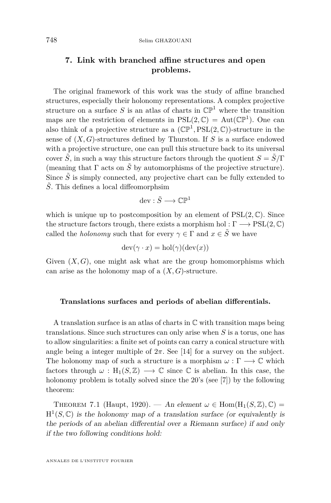## **7. Link with branched affine structures and open problems.**

The original framework of this work was the study of affine branched structures, especially their holonomy representations. A complex projective structure on a surface  $S$  is an atlas of charts in  $\mathbb{CP}^1$  where the transition maps are the restriction of elements in  $PSL(2,\mathbb{C}) = Aut(\mathbb{CP}^1)$ . One can also think of a projective structure as a  $(\mathbb{CP}^1, \mathrm{PSL}(2,\mathbb{C}))$ -structure in the sense of (*X, G*)-structures defined by Thurston. If *S* is a surface endowed with a projective structure, one can pull this structure back to its universal cover  $\tilde{S}$ , in such a way this structure factors through the quotient  $S = \tilde{S}/\Gamma$ (meaning that  $\Gamma$  acts on  $\tilde{S}$  by automorphisms of the projective structure). Since  $\tilde{S}$  is simply connected, any projective chart can be fully extended to  $\tilde{S}$ . This defines a local diffeomorphsim

$$
\mathrm{dev}:\tilde{S}\longrightarrow\mathbb{CP}^1
$$

which is unique up to postcomposition by an element of  $PSL(2,\mathbb{C})$ . Since the structure factors trough, there exists a morphism hol :  $\Gamma \longrightarrow \text{PSL}(2,\mathbb{C})$ called the *holonomy* such that for every  $\gamma \in \Gamma$  and  $x \in \tilde{S}$  we have

$$
dev(\gamma \cdot x) = hol(\gamma)(dev(x))
$$

Given  $(X, G)$ , one might ask what are the group homomorphisms which can arise as the holonomy map of a  $(X, G)$ -structure.

#### **Translations surfaces and periods of abelian differentials.**

A translation surface is an atlas of charts in  $\mathbb C$  with transition maps being translations. Since such structures can only arise when *S* is a torus, one has to allow singularities: a finite set of points can carry a conical structure with angle being a integer multiple of  $2\pi$ . See [\[14\]](#page-23-10) for a survey on the subject. The holonomy map of such a structure is a morphism  $\omega : \Gamma \longrightarrow \mathbb{C}$  which factors through  $\omega : H_1(S, \mathbb{Z}) \longrightarrow \mathbb{C}$  since  $\mathbb{C}$  is abelian. In this case, the holonomy problem is totally solved since the 20's (see [\[7\]](#page-23-11)) by the following theorem:

THEOREM 7.1 (Haupt, 1920). — An element  $\omega \in$  Hom $(H_1(S, \mathbb{Z}), \mathbb{C})$  =  $H^1(S, \mathbb{C})$  is the holonomy map of a translation surface (or equivalently is the periods of an abelian differential over a Riemann surface) if and only if the two following conditions hold: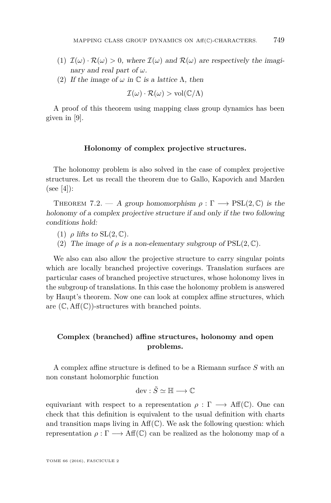- (1)  $\mathcal{I}(\omega) \cdot \mathcal{R}(\omega) > 0$ , where  $\mathcal{I}(\omega)$  and  $\mathcal{R}(\omega)$  are respectively the imaginary and real part of *ω*.
- (2) If the image of  $\omega$  in  $\mathbb C$  is a lattice  $\Lambda$ , then

$$
\mathcal{I}(\omega) \cdot \mathcal{R}(\omega) > \text{vol}(\mathbb{C}/\Lambda)
$$

A proof of this theorem using mapping class group dynamics has been given in [\[9\]](#page-23-2).

#### **Holonomy of complex projective structures.**

The holonomy problem is also solved in the case of complex projective structures. Let us recall the theorem due to Gallo, Kapovich and Marden  $(see [4])$  $(see [4])$  $(see [4])$ :

THEOREM 7.2. — A group homomorphism  $\rho : \Gamma \longrightarrow \text{PSL}(2, \mathbb{C})$  is the holonomy of a complex projective structure if and only if the two following conditions hold:

- (1)  $\rho$  lifts to  $SL(2,\mathbb{C})$ .
- (2) The image of  $\rho$  is a non-elementary subgroup of  $PSL(2,\mathbb{C})$ .

We also can also allow the projective structure to carry singular points which are locally branched projective coverings. Translation surfaces are particular cases of branched projective structures, whose holonomy lives in the subgroup of translations. In this case the holonomy problem is answered by Haupt's theorem. Now one can look at complex affine structures, which are  $(\mathbb{C}, \text{Aff}(\mathbb{C}))$ -structures with branched points.

## **Complex (branched) affine structures, holonomy and open problems.**

A complex affine structure is defined to be a Riemann surface *S* with an non constant holomorphic function

$$
\mathrm{dev}:\tilde{S}\simeq\mathbb{H}\longrightarrow\mathbb{C}
$$

equivariant with respect to a representation  $\rho : \Gamma \longrightarrow Aff(\mathbb{C})$ . One can check that this definition is equivalent to the usual definition with charts and transition maps living in  $\text{Aff}(\mathbb{C})$ . We ask the following question: which representation  $ρ: \Gamma \longrightarrow Aff(\mathbb{C})$  can be realized as the holonomy map of a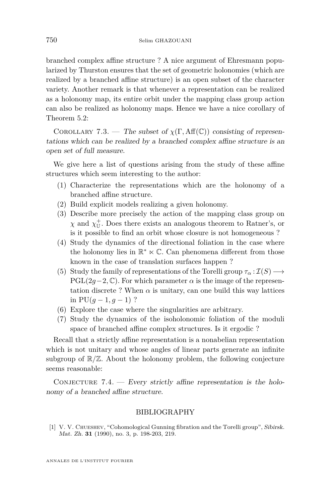branched complex affine structure ? A nice argument of Ehresmann popularized by Thurston ensures that the set of geometric holonomies (which are realized by a branched affine structure) is an open subset of the character variety. Another remark is that whenever a representation can be realized as a holonomy map, its entire orbit under the mapping class group action can also be realized as holonomy maps. Hence we have a nice corollary of Theorem [5.2:](#page-16-0)

COROLLARY 7.3. — The subset of  $\chi(\Gamma, \text{Aff}(\mathbb{C}))$  consisting of representations which can be realized by a branched complex affine structure is an open set of full measure.

We give here a list of questions arising from the study of these affine structures which seem interesting to the author:

- (1) Characterize the representations which are the holonomy of a branched affine structure.
- (2) Build explicit models realizing a given holonomy.
- (3) Describe more precisely the action of the mapping class group on  $\chi$  and  $\chi_{\mathbb{U}}^+$ . Does there exists an analogous theorem to Ratner's, or is it possible to find an orbit whose closure is not homogeneous ?
- (4) Study the dynamics of the directional foliation in the case where the holonomy lies in  $\mathbb{R}^* \ltimes \mathbb{C}$ . Can phenomena different from those known in the case of translation surfaces happen ?
- (5) Study the family of representations of the Torelli group  $\tau_{\alpha} : \mathcal{I}(S) \longrightarrow$ PGL(2*q*−2,  $\mathbb{C}$ ). For which parameter  $\alpha$  is the image of the representation discrete ? When  $\alpha$  is unitary, can one build this way lattices in  $PU(q-1, q-1)$  ?
- (6) Explore the case where the singularities are arbitrary.
- (7) Study the dynamics of the isoholonomic foliation of the moduli space of branched affine complex structures. Is it ergodic ?

Recall that a strictly affine representation is a nonabelian representation which is not unitary and whose angles of linear parts generate an infinite subgroup of  $\mathbb{R}/\mathbb{Z}$ . About the holonomy problem, the following conjecture seems reasonable:

CONJECTURE  $7.4.$  - Every strictly affine representation is the holonomy of a branched affine structure.

## BIBLIOGRAPHY

<span id="page-22-0"></span>[1] V. V. Chueshev, "Cohomological Gunning fibration and the Torelli group", Sibirsk. Mat. Zh. **31** (1990), no. 3, p. 198-203, 219.